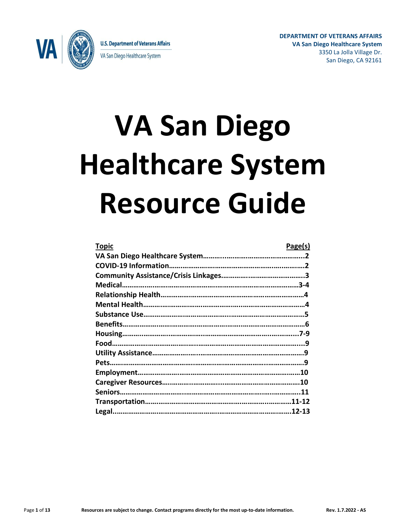

**U.S. Department of Veterans Affairs** VA San Diego Healthcare System

**DEPARTMENT OF VETERANS AFFAIRS VA San Diego Healthcare System** 3350 La Jolla Village Dr. San Diego, CA 92161

# **VA San Diego Healthcare System Resource Guide**

| <b>Topic</b> | Page(s) |
|--------------|---------|
|              |         |
|              |         |
|              |         |
|              |         |
|              |         |
|              |         |
|              |         |
|              |         |
|              |         |
|              |         |
|              |         |
|              |         |
|              |         |
|              |         |
|              |         |
|              |         |
|              |         |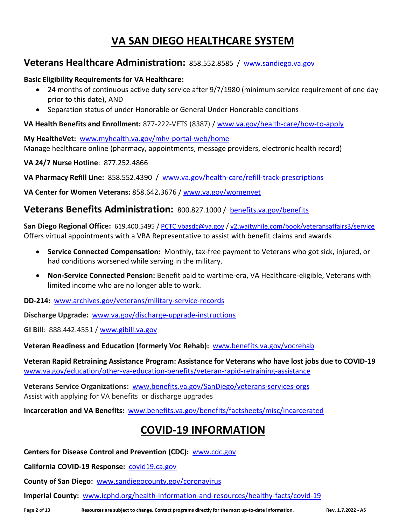# **VA SAN DIEGO HEALTHCARE SYSTEM**

## **Veterans Healthcare Administration:** 858.552.8585 / [www.sandiego.va.gov](http://www.sandiego.va.gov/)

#### **Basic Eligibility Requirements for VA Healthcare:**

- 24 months of continuous active duty service after 9/7/1980 (minimum service requirement of one day prior to this date), AND
- Separation status of under Honorable or General Under Honorable conditions

**VA Health Benefits and Enrollment:** 877-222-VETS (8387) / [www.va.gov/health-care/how-to-apply](http://www.va.gov/health-care/how-to-apply)

**My HealtheVet:** [www.myhealth.va.gov/mhv-portal-web/home](http://www.myhealth.va.gov/mhv-portal-web/home) Manage healthcare online (pharmacy, appointments, message providers, electronic health record)

**VA 24/7 Nurse Hotline**: 877.252.4866

**VA Pharmacy Refill Line:** 858.552.4390 / [www.va.gov/health-care/refill-track-prescriptions](https://www.va.gov/health-care/refill-track-prescriptions/)

**VA Center for Women Veterans:** 858.642**.**3676 / [www.va.gov/womenvet](https://www.va.gov/womenvet/)

## **Veterans Benefits Administration:** 800.827.1000 / [benefits.va.gov/benefits](https://benefits.va.gov/benefits/)

San Diego Regional Office: 619.400.5495 / [PCTC.vbasdc@va.gov](mailto:PCTC.vbasdc@va.gov) / [v2.waitwhile.com/book/veteransaffairs3/service](https://v2.waitwhile.com/book/veteransaffairs3/service) Offers virtual appointments with a VBA Representative to assist with benefit claims and awards

- **Service Connected Compensation:** Monthly, tax-free payment to Veterans who got sick, injured, or had conditions worsened while serving in the military.
- **Non-Service Connected Pension:** Benefit paid to wartime-era, VA Healthcare-eligible, Veterans with limited income who are no longer able to work.

**DD-214:** [www.archives.gov/veterans/military-service-records](http://www.archives.gov/veterans/military-service-records)

**Discharge Upgrade:** [www.va.gov/discharge-upgrade-instructions](http://www.va.gov/discharge-upgrade-instructions)

**GI Bill**: 888.442.4551 / [www.gibill.va.gov](http://www.gibill.va.gov/)

**Veteran Readiness and Education (formerly Voc Rehab):** [www.benefits.va.gov/vocrehab](http://www.benefits.va.gov/vocrehab)

**Veteran Rapid Retraining Assistance Program: Assistance for Veterans who have lost jobs due to COVID-19** [www.va.gov/education/other-va-education-benefits/veteran-rapid-retraining-assistance](http://www.va.gov/education/other-va-education-benefits/veteran-rapid-retraining-assistance)

**Veterans Service Organizations:** [www.benefits.va.gov/SanDiego/veterans-services-orgs](http://www.benefits.va.gov/SanDiego/veterans-services-orgs.asp) Assist with applying for VA benefits or discharge upgrades

**Incarceration and VA Benefits:** [www.benefits.va.gov/benefits/factsheets/misc/incarcerated](http://www.benefits.va.gov/benefits/factsheets/misc/incarcerated)

# **COVID-19 INFORMATION**

**Centers for Disease Control and Prevention (CDC):** [www.cdc.gov](http://www.cdc.gov/)

**California COVID-19 Response:** [covid19.ca.gov](https://covid19.ca.gov/)

**County of San Diego:** [www.sandiegocounty.gov/coronavirus](http://www.sandiegocounty.gov/coronavirus)

**Imperial County:** [www.icphd.org/health-information-and-resources/healthy-facts/covid-19](http://www.icphd.org/health-information-and-resources/healthy-facts/covid-19)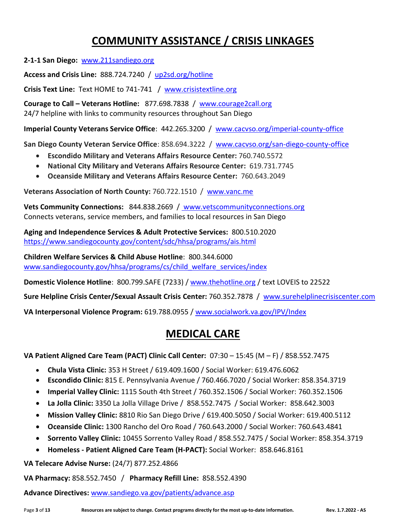# **COMMUNITY ASSISTANCE / CRISIS LINKAGES**

**2-1-1 San Diego:** www[.211sandiego.org](https://211sandiego.org/)

**Access and Crisis Line:** 888.724.7240 / [up2sd.org/hotline](https://up2sd.org/hotline/)

**Crisis Text Line:** Text HOME to 741-741 / [www.crisistextline.org](http://www.crisistextline.org/)

**Courage to Call – Veterans Hotline:** 877.698.7838 / [www.courage2call.org](https://www.courage2call.org/) 24/7 helpline with links to community resources throughout San Diego

**Imperial County Veterans Service Office**: 442.265.3200 / [www.cacvso.org/imperial-county-office](http://www.cacvso.org/imperial-county-office/)

**San Diego County Veteran Service Office**: 858.694.3222 / [www.cacvso.org/san-diego-county-office](http://www.cacvso.org/san-diego-county-office)

- **Escondido Military and Veterans Affairs Resource Center:** 760.740.5572
- **National City Military and Veterans Affairs Resource Center:** 619.731.7745
- **Oceanside Military and Veterans Affairs Resource Center:** 760.643.2049

**Veterans Association of North County:** 760.722.1510 / [www.vanc.me](http://www.vanc.me/)

**Vets Community Connections:** 844.838.2669 / [www.vetscommunityconnections.org](http://www.vetscommunityconnections.org/) Connects veterans, service members, and families to local resources in San Diego

**Aging and Independence Services & Adult Protective Services:** 800.510.2020 <https://www.sandiegocounty.gov/content/sdc/hhsa/programs/ais.html>

**Children Welfare Services & Child Abuse Hotline**: 800.344.6000 [www.sandiegocounty.gov/hhsa/programs/cs/child\\_welfare\\_services/index](http://www.sandiegocounty.gov/hhsa/programs/cs/child_welfare_services/index)

**Domestic Violence Hotline**: 800.799.SAFE (7233) / [www.thehotline.org](https://www.thehotline.org/) / text LOVEIS to 22522

**Sure Helpline Crisis Center/Sexual Assault Crisis Center:** 760.352.7878 / [www.surehelplinecrisiscenter.com](http://www.surehelplinecrisiscenter.com/)

**VA Interpersonal Violence Program:** 619.788.0955 / [www.socialwork.va.gov/IPV/Index](http://www.socialwork.va.gov/IPV/Index.asp)

## **MEDICAL CARE**

**VA Patient Aligned Care Team (PACT) Clinic Call Center:** 07:30 – 15:45 (M – F) / 858.552.7475

- **Chula Vista Clinic:** 353 H Street / 619.409.1600 / Social Worker: 619.476.6062
- **Escondido Clinic:** 815 E. Pennsylvania Avenue / 760.466.7020 / Social Worker: 858.354.3719
- **Imperial Valley Clinic:** 1115 South 4th Street / 760.352.1506 / Social Worker: 760.352.1506
- **La Jolla Clinic:** 3350 La Jolla Village Drive / 858.552.7475 / Social Worker: 858.642.3003
- **Mission Valley Clinic:** 8810 Rio San Diego Drive / 619.400.5050 / Social Worker: 619.400.5112
- **Oceanside Clinic:** 1300 Rancho del Oro Road / 760.643.2000 / Social Worker: 760.643.4841
- **Sorrento Valley Clinic:** 10455 Sorrento Valley Road / 858.552.7475 / Social Worker: 858.354.3719
- **Homeless - Patient Aligned Care Team (H-PACT):** Social Worker: 858.646.8161

**VA Telecare Advise Nurse:** (24/7) 877.252.4866

**VA Pharmacy:** 858.552.7450 / **Pharmacy Refill Line:** 858.552.4390

**Advance Directives:** [www.sandiego.va.gov/patients/advance.asp](http://www.sandiego.va.gov/patients/advance.asp)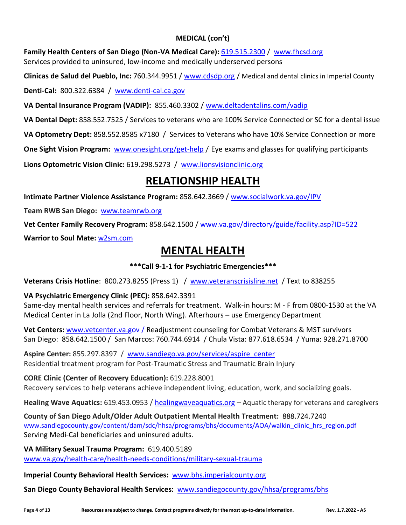## **MEDICAL (con't)**

**Family Health Centers of San Diego (Non-VA Medical Care):** [619.515.2300](http://619.515.2300/) / [www.fhcsd.org](https://www.fhcsd.org/) Services provided to uninsured, low-income and medically underserved persons

**Clinicas de Salud del Pueblo, Inc:** 760.344.9951 / [www.cdsdp.org](http://www.cdsdp.org/) / Medical and dental clinics in Imperial County

**Denti-Cal:** 800.322.6384 / [www.denti-cal.ca.gov](http://www.denti-cal.ca.gov/)

**VA Dental Insurance Program (VADIP):** 855.460.3302 / [www.deltadentalins.com/vadip](http://www.deltadentalins.com/vadip)

**VA Dental Dept:** 858.552.7525 / Services to veterans who are 100% Service Connected or SC for a dental issue

**VA Optometry Dept:** 858.552.8585 x7180 / Services to Veterans who have 10% Service Connection or more

**One Sight Vision Program:** [www.onesight.org/get-help](http://www.onesight.org/get-help%20/) [/](http://www.onesight.org/get-help%20/) Eye exams and glasses for qualifying participants

**Lions Optometric Vision Clinic:** 619.298.5273 / [www.lionsvisionclinic.org](http://www.lionsvisionclinic.org/)

# **RELATIONSHIP HEALTH**

**Intimate Partner Violence Assistance Program:** 858.642.3669 / [www.socialwork.va.gov/IPV](http://www.socialwork.va.gov/IPV)

**Team RWB San Diego:** [www.teamrwb.org](http://www.teamrwb.org/)

**Vet Center Family Recovery Program:** 858.642.1500 / [www.va.gov/directory/guide/facility.asp?ID=522](http://www.va.gov/directory/guide/facility.asp?ID=522)

**Warrior to Soul Mate:** [w2sm.com](https://www.w2sm.com/)

# **MENTAL HEALTH**

## **\*\*\*Call 9-1-1 for Psychiatric Emergencies\*\*\***

**Veterans Crisis Hotline**: 800.273.8255 (Press 1) / [www.veteranscrisisline.net](http://www.veteranscrisisline.net/) / Text to 838255

## **VA Psychiatric Emergency Clinic (PEC):** 858.642.3391

Same-day mental health services and referrals for treatment. Walk-in hours: M - F from 0800-1530 at the VA Medical Center in La Jolla (2nd Floor, North Wing). Afterhours – use Emergency Department

**Vet Centers:** [www.vetcenter.va.gov](http://www.vetcenter.va.gov/) / Readjustment counseling for Combat Veterans & MST survivors San Diego: 858.642.1500 / San Marcos: 760.744.6914 / Chula Vista: 877.618.6534 / Yuma: 928.271.8700

**Aspire Center:** 855.297.8397 / [www.sandiego.va.gov/services/aspire\\_center](http://www.sandiego.va.gov/services/aspire_center) Residential treatment program for Post-Traumatic Stress and Traumatic Brain Injury

**CORE Clinic (Center of Recovery Education):** 619.228.8001

Recovery services to help veterans achieve independent living, education, work, and socializing goals.

**Healing Wave Aquatics:** 619.453.0953 / healingwaveaquatics.org – Aquatic therapy for veterans and caregivers

**County of San Diego Adult/Older Adult Outpatient Mental Health Treatment:** 888.724.7240 [www.sandiegocounty.gov/content/dam/sdc/hhsa/programs/bhs/documents/AOA/walkin\\_clinic\\_hrs\\_region.pdf](http://www.sandiegocounty.gov/content/dam/sdc/hhsa/programs/bhs/documents/AOA/walkin_clinic_hrs_region.pdf) Serving Medi-Cal beneficiaries and uninsured adults.

**VA Military Sexual Trauma Program:** 619.400.5189 [www.va.gov/health-care/health-needs-conditions/military-sexual-trauma](https://www.va.gov/health-care/health-needs-conditions/military-sexual-trauma/)

**Imperial County Behavioral Health Services:** [www.bhs.imperialcounty.org](http://www.bhs.imperialcounty.org/)

**San Diego County Behavioral Health Services:** [www.sandiegocounty.gov/hhsa/programs/bhs](http://www.sandiegocounty.gov/hhsa/programs/bhs)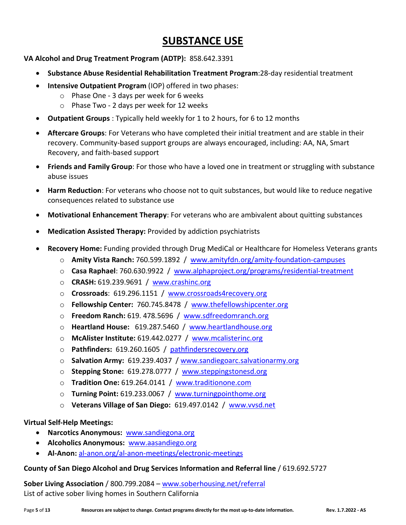## **SUBSTANCE USE**

**VA Alcohol and Drug Treatment Program (ADTP):** 858.642.3391

- **Substance Abuse Residential Rehabilitation Treatment Program**:28-day residential treatment
- **Intensive Outpatient Program** (IOP) offered in two phases:
	- o Phase One 3 days per week for 6 weeks
	- o Phase Two 2 days per week for 12 weeks
- **Outpatient Groups** : Typically held weekly for 1 to 2 hours, for 6 to 12 months
- **Aftercare Groups**: For Veterans who have completed their initial treatment and are stable in their recovery. Community-based support groups are always encouraged, including: AA, NA, Smart Recovery, and faith-based support
- **Friends and Family Group**: For those who have a loved one in treatment or struggling with substance abuse issues
- **Harm Reduction**: For veterans who choose not to quit substances, but would like to reduce negative consequences related to substance use
- **Motivational Enhancement Therapy**: For veterans who are ambivalent about quitting substances
- **Medication Assisted Therapy:** Provided by addiction psychiatrists
- **Recovery Home:** Funding provided through Drug MediCal or Healthcare for Homeless Veterans grants
	- o **Amity Vista Ranch:** 760.599.1892 / [www.amityfdn.org/amity-foundation-campuses](http://www.amityfdn.org/amity-foundation-campuses)
	- o **Casa Raphael**: 760.630.9922 / [www.alphaproject.org/programs/residential-treatment](http://www.alphaproject.org/programs/residential-treatment)
	- o **CRASH:** 619.239.9691 / [www.crashinc.org](http://www.crashinc.org/)
	- o **Crossroads**: 619.296.1151 / [www.crossroads4recovery.org](http://www.crossroads4recovery.org/)
	- o **Fellowship Center:** 760.745.8478 / [www.thefellowshipcenter.org](http://www.thefellowshipcenter.org/)
	- o **Freedom Ranch:** 619. 478.5696 / [www.sdfreedomranch.org](http://www.sdfreedomranch.org/)
	- o **Heartland House:** 619.287.5460 / www[.heartlandhouse.org](https://heartlandhouse.org/)
	- o **McAlister Institute:** 619.442.0277 / [www.mcalisterinc.org](http://www.mcalisterinc.org/)
	- o **Pathfinders:** 619.260.1605 / [pathfindersrecovery.org](http://pathfindersrecovery.org/)
	- o **Salvation Army:** 619.239.4037 / [www.sandiegoarc.salvationarmy.org](http://www.sandiegoarc.salvationarmy.org/)
	- o **Stepping Stone:** 619.278.0777 / [www.steppingstonesd.org](http://www.steppingstonesd.org/)
	- o **Tradition One:** 619.264.0141 / [www.traditionone.com](http://www.traditionone.com/)
	- o **Turning Point:** 619.233.0067 / [www.turningpointhome.org](http://www.turningpointhome.org/)
	- o **Veterans Village of San Diego:** 619.497.0142 / [www.vvsd.net](http://www.vvsd.net/)

#### **Virtual Self-Help Meetings:**

- **Narcotics Anonymous:** [www.sandiegona.org](http://www.sandiegona.org/)
- **Alcoholics Anonymous:** [www.aasandiego.org](http://www.aasandiego.org/)
- **Al-Anon:** [al-anon.org/al-anon-meetings/electronic-meetings](https://al-anon.org/al-anon-meetings/electronic-meetings/)

#### **County of San Diego Alcohol and Drug Services Information and Referral line** / 619.692.5727

**Sober Living Association** / 800.799.2084 – [www.soberhousing.net/referral](http://www.soberhousing.net/referral) List of active sober living homes in Southern California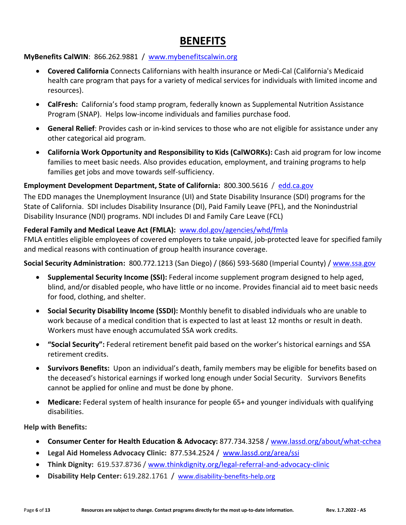# **BENEFITS**

## **MyBenefits CalWIN**: 866.262.9881 / [www.mybenefitscalwin.org](http://www.mybenefitscalwin.org/)

- **Covered California** Connects Californians with health insurance or Medi-Cal (California's Medicaid health care program that pays for a variety of medical services for individuals with limited income and resources).
- **CalFresh:** California's food stamp program, federally known as Supplemental Nutrition Assistance Program (SNAP). Helps low-income individuals and families purchase food.
- **General Relief**: Provides cash or in-kind services to those who are not eligible for assistance under any other categorical aid program.
- **[California Work Opportunity and Responsibility to Kids \(CalWORKs\):](http://www.cdss.ca.gov/calworks/)** Cash aid program for low income families to meet basic needs. Also provides education, employment, and training programs to help families get jobs and move towards self-sufficiency.

#### **Employment Development Department, State of California:** 800.300.5616 / [edd.ca.gov](https://edd.ca.gov/)

The EDD manages the Unemployment Insurance (UI) and State Disability Insurance (SDI) programs for the State of California. SDI includes Disability Insurance (DI), Paid Family Leave (PFL), and the Nonindustrial Disability Insurance (NDI) programs. NDI includes DI and Family Care Leave (FCL)

#### **Federal Family and Medical Leave Act (FMLA):** [www.dol.gov/agencies/whd/fmla](http://www.dol.gov/agencies/whd/fmla)

FMLA entitles eligible employees of covered employers to take unpaid, job-protected leave for specified family and medical reasons with continuation of group health insurance coverage.

**Social Security Administration:** 800.772.1213 (San Diego) / (866) 593-5680 (Imperial County) / [www.ssa.gov](http://www.ssa.gov/)

- **Supplemental Security Income (SSI):** Federal income supplement program designed to help aged, blind, and/or disabled people, who have little or no income. Provides financial aid to meet basic needs for food, clothing, and shelter.
- **Social Security Disability Income (SSDI):** Monthly benefit to disabled individuals who are unable to work because of a medical condition that is expected to last at least 12 months or result in death. Workers must have enough accumulated SSA work credits.
- **"Social Security":** Federal retirement benefit paid based on the worker's historical earnings and SSA retirement credits.
- **Survivors Benefits:** Upon an individual's death, family members may be eligible for benefits based on the deceased's historical earnings if worked long enough under Social Security. Survivors Benefits cannot be applied for online and must be done by phone.
- **Medicare:** Federal system of health insurance for people 65+ and younger individuals with qualifying disabilities.

**Help with Benefits:**

- **Consumer Center for Health Education & Advocacy:** 877.734.3258 / [www.lassd.org/about/what-cchea](http://www.lassd.org/about/what-cchea)
- **Legal Aid Homeless Advocacy Clinic:** 877.534.2524 / [www.lassd.org/area/ssi](http://www.lassd.org/area/ssi)
- **Think Dignity:** 619.537.8736 / [www.thinkdignity.org/legal-referral-and-advocacy-clinic](http://www.thinkdignity.org/legal-referral-and-advocacy-clinic)
- **Disability Help Center:** 619.282.1761 /[www.disability-benefits-help.org](http://www.disability-benefits-help.org/)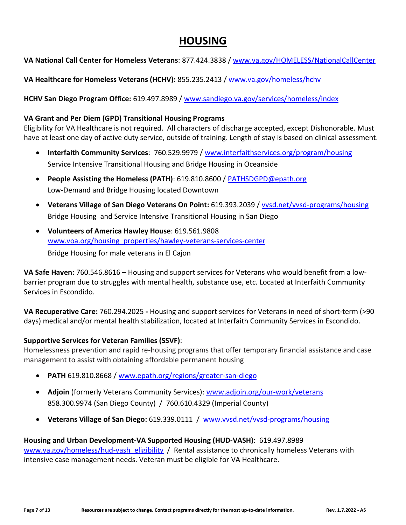## **HOUSING**

**VA National Call Center for Homeless Veterans**: 877.424.3838 / [www.va.gov/HOMELESS/NationalCallCenter](http://www.va.gov/HOMELESS/NationalCallCenter)

**VA Healthcare for Homeless Veterans (HCHV):** 855.235.2413 / [www.va.gov/homeless/hchv](https://www.va.gov/homeless/hchv.asp)

**HCHV San Diego Program Office:** 619.497.8989 / [www.sandiego.va.gov/services/homeless/index](https://www.sandiego.va.gov/services/homeless/index.asp)

## **VA Grant and Per Diem (GPD) Transitional Housing Programs**

Eligibility for VA Healthcare is not required. All characters of discharge accepted, except Dishonorable. Must have at least one day of active duty service, outside of training. Length of stay is based on clinical assessment.

- **Interfaith Community Services**: 760.529.9979 / [www.interfaithservices.org/program/housing](http://www.interfaithservices.org/program/housing) Service Intensive Transitional Housing and Bridge Housing in Oceanside
- **People Assisting the Homeless (PATH)**: 619.810.8600 / [PATHSDGPD@epath.org](mailto:PATHSDGPD@epath.org) Low-Demand and Bridge Housing located Downtown
- **Veterans Village of San Diego Veterans On Point:** 619.393.2039 / [vvsd.net/vvsd-programs/housing](https://vvsd.net/vvsd-programs/housing/) Bridge Housing and Service Intensive Transitional Housing in San Diego
- **Volunteers of America Hawley House**: 619.561.9808 [www.voa.org/housing\\_properties/hawley-veterans-services-center](http://www.voa.org/housing_properties/hawley-veterans-services-center) Bridge Housing for male veterans in El Cajon

**VA Safe Haven:** 760.546.8616 – Housing and support services for Veterans who would benefit from a lowbarrier program due to struggles with mental health, substance use, etc. Located at Interfaith Community Services in Escondido.

**VA Recuperative Care:** 760.294.2025 **-** Housing and support services for Veterans in need of short-term (>90 days) medical and/or mental health stabilization, located at Interfaith Community Services in Escondido.

## **Supportive Services for Veteran Families (SSVF)**:

Homelessness prevention and rapid re-housing programs that offer temporary financial assistance and case management to assist with obtaining affordable permanent housing

- **PATH** 619.810.8668 / [www.epath.org/regions/greater-san-diego](http://www.epath.org/regions/greater-san-diego)
- **Adjoin** (formerly Veterans Community Services): www.adjoin.org/our-work/veterans 858.300.9974 (San Diego County) / 760.610.4329 (Imperial County)
- **Veterans Village of San Diego:** 619.339.0111 / [www.vvsd.net/vvsd-programs/housing](http://www.vvsd.net/vvsd-programs/housing)

## **Housing and Urban Development-VA Supported Housing (HUD-VASH)**: 619.497.8989

[www.va.gov/homeless/hud-vash\\_eligibility](http://www.va.gov/homeless/hud-vash_eligibility) / Rental assistance to chronically homeless Veterans with intensive case management needs. Veteran must be eligible for VA Healthcare.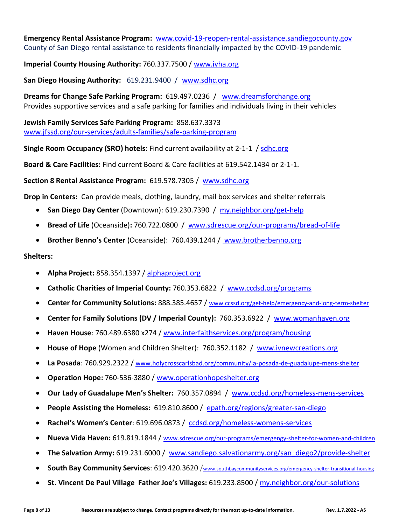**Emergency Rental Assistance Program:** [www.covid-19-reopen-rental-assistance.sandiegocounty.gov](http://www.covid-19-reopen-rental-assistance.sandiegocounty.gov/) County of San Diego rental assistance to residents financially impacted by the COVID-19 pandemic

**Imperial County Housing Authority:** 760.337.7500 / [www.ivha.org](https://www.ivha.org/)

**San Diego Housing Authority:** 619.231.9400 / [www.sdhc.org](http://www.sdhc.org/)

**Dreams for Change Safe Parking Program:** 619.497.0236 / [www.dreamsforchange.org](http://www.dreamsforchange.org/) Provides supportive services and a safe parking for families and individuals living in their vehicles

**Jewish Family Services Safe Parking Program:** 858.637.3373 [www.jfssd.org/our-services/adults-families/safe-parking-program](https://www.jfssd.org/our-services/adults-families/safe-parking-program/)

**Single Room Occupancy (SRO) hotels**: Find current availability at 2-1-1 / [sdhc.org](mailto:sdhcinfo@sdhc.org)

**Board & Care Facilities:** Find current Board & Care facilities at 619.542.1434 or 2-1-1.

**Section 8 Rental Assistance Program:** 619.578.7305 / [www.sdhc.org](http://www.sdhc.org/)

**Drop in Centers:** Can provide meals, clothing, laundry, mail box services and shelter referrals

- **San Diego Day Center** (Downtown): 619.230.7390 / [my.neighbor.org/get-help](https://my.neighbor.org/get-help)
- **Bread of Life** (Oceanside)**:** 760.722.0800 / [www.sdrescue.org/our-programs/bread-of-life](http://www.sdrescue.org/our-programs/bread-of-life)
- **Brother Benno's Center** (Oceanside): 760.439.1244 / www.brotherbenno.org

#### **Shelters:**

- **Alpha Project:** 858.354.1397 / [alphaproject.org](http://www.alphaproject.org/)
- **Catholic Charities of Imperial County:** 760.353.6822 / [www.ccdsd.org/programs](http://www.ccdsd.org/programs)
- **Center for Community Solutions:** [888.385.4657](tel:%20+18883854657) / [www.ccssd.org/get-help/emergency-and-long-term-shelter](http://www.ccssd.org/get-help/emergency-and-long-term-shelter)
- **Center for Family Solutions (DV / Imperial County):** 760.353.6922 / [www.womanhaven.org](http://www.womanhaven.org/)
- **Haven House**: 760.489.6380 x274 / [www.interfaithservices.org/program/housing](https://www.interfaithservices.org/program/housing/)
- **House of Hope** (Women and Children Shelter): 760.352.1182 / [www.ivnewcreations.org](http://www.ivnewcreations.org/)
- **La Posada**: 760.929.2322 / ww[w.holycrosscarlsbad.org/community/la-posada-de-guadalupe-mens-shelter](https://holycrosscarlsbad.org/community/la-posada-de-guadalupe-mens-shelter/)
- **Operation Hope:** 760-536-3880 / [www.operationhopeshelter.org](http://www.operationhopeshelter.org/)
- **Our Lady of Guadalupe Men's Shelter:** 760.357.0894 / www[.ccdsd.org/homeless-mens-services](https://ccdsd.org/homeless-mens-services/)
- **People Assisting the Homeless:** 619.810.8600 / [epath.org/regions/greater-san-diego](https://epath.org/regions/greater-san-diego/)
- **Rachel's Women's Center**: 619.696.0873 / [ccdsd.org/homeless-womens-services](https://ccdsd.org/homeless-womens-services/)
- **Nueva Vida Haven:** 619.819.1844 / [www.sdrescue.org/our-programs/emergengy-shelter-for-women-and-children](http://www.sdrescue.org/our-programs/emergengy-shelter-for-women-and-children)
- **The Salvation Army:** 619.231.6000 / [www.sandiego.salvationarmy.org/san\\_diego2/provide-shelter](http://www.sandiego.salvationarmy.org/san_diego2/provide-shelter)
- **South Bay Community Services**: 619.420.3620 /www.[southbaycommunityservices.org/emergency-shelter-transitional-housing](http://www.southbaycommunityservices.org/emergency-shelter-transitional-housing)
- **St. Vincent De Paul Village Father Joe's Villages:** 619.233.8500 / [my.neighbor.org/our-solutions](https://my.neighbor.org/our-solutions/)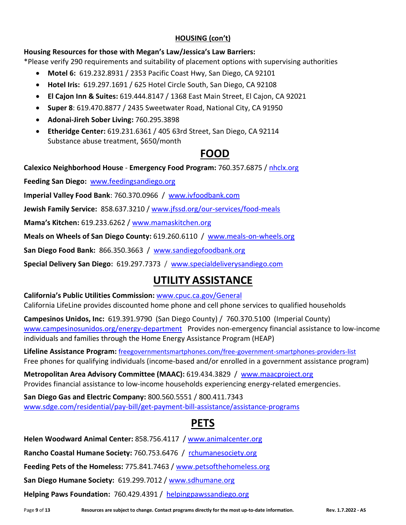## **HOUSING (con't)**

**Housing Resources for those with Megan's Law/Jessica's Law Barriers:**

\*Please verify 290 requirements and suitability of placement options with supervising authorities

- **Motel 6:** 619.232.8931 / 2353 Pacific Coast Hwy, San Diego, CA 92101
- **Hotel Iris:** 619.297.1691 / 625 Hotel Circle South, San Diego, CA 92108
- **El Cajon Inn & Suites:** 619.444.8147 / 1368 East Main Street, El Cajon, CA 92021
- **Super 8**: 619.470.8877 / 2435 Sweetwater Road, National City, CA 91950
- **Adonai-Jireh Sober Living:** 760.295.3898
- **Etheridge Center:** 619.231.6361 / 405 63rd Street, San Diego, CA 92114 Substance abuse treatment, \$650/month

# **FOOD**

**Calexico Neighborhood House** - **Emergency Food Program:** 760.357.6875 / [nhclx.org](https://nhclx.org/)

**Feeding San Diego:** [www.feedingsandiego.org](http://www.feedingsandiego.org/)

**Imperial Valley Food Bank**: 760.370.0966 / [www.ivfoodbank.com](http://www.ivfoodbank.com/)

**Jewish Family Service:** 858.637.3210 / [www.jfssd.org/our-services/food-meals](http://www.jfssd.org/our-services/food-meals/home-delivered-meals-foodmobile)

**Mama's Kitchen:** 619.233.6262 / [www.mamaskitchen.org](http://www.mamaskitchen.org/)

**[Meals on Wheels of San Diego County:](https://www.meals-on-wheels.org/)** 619.260.6110 / [www.meals-on-wheels.org](http://www.meals-on-wheels.org/)

**San Diego Food Bank:** 866.350.3663 / [www.sandiegofoodbank.org](http://www.sandiegofoodbank.org/)

**Special Delivery San Diego:** 619.297.7373 / [www.specialdeliverysandiego.com](http://www.specialdeliverysandiego.com/)

# **UTILITY ASSISTANCE**

**California's Public Utilities Commission:** [www.cpuc.ca.gov/General](http://www.cpuc.ca.gov/General.aspx?id=2752#qualify) California LifeLine provides discounted home phone and cell phone services to qualified households

**Campesinos Unidos, Inc:** 619.391.9790 (San Diego County) / 760.370.5100 (Imperial County) [www.campesinosunidos.org/energy-department](http://www.campesinosunidos.org/energy-department) Provides non-emergency financial assistance to low-income individuals and families through the Home Energy Assistance Program (HEAP)

**Lifeline Assistance Program:** [freegovernmentsmartphones.com/free-government-smartphones-providers-list](https://freegovernmentsmartphones.com/free-government-smartphones-providers-list/) Free phones for qualifying individuals (income-based and/or enrolled in a government assistance program)

**[Metropolitan Area Advisory Committee \(MAAC\):](https://my211.force.com/0014100000aV5ObAAK)** 619.434.3829 / [www.maacproject.org](http://www.maacproject.org/) Provides financial assistance to low-income households experiencing energy-related emergencies.

**San Diego Gas [and Electric Company:](https://my211.force.com/0014100000aV5YuAAK)** 800.560.5551 / 800.411.7343 [www.sdge.com/residential/pay-bill/get-payment-bill-assistance/assistance-programs](http://www.sdge.com/residential/pay-bill/get-payment-bill-assistance/assistance-programs)

# **PETS**

**Helen Woodward Animal Center:** 858.756.4117 / [www.animalcenter.org](http://www.animalcenter.org/)

**Rancho Coastal Humane Society:** 760.753.6476 / [rchumanesociety.org](https://rchumanesociety.org/)

**Feeding Pets of the Homeless:** 775.841.7463 / [www.petsofthehomeless.org](http://www.petsofthehomeless.org/)

**San Diego Humane Society:** 619.299.7012 / [www.sdhumane.org](http://www.sdhumane.org/)

**Helping Paws Foundation:** 760.429.4391 / [helpingpawssandiego.org](https://helpingpawssandiego.org/help-agencies/)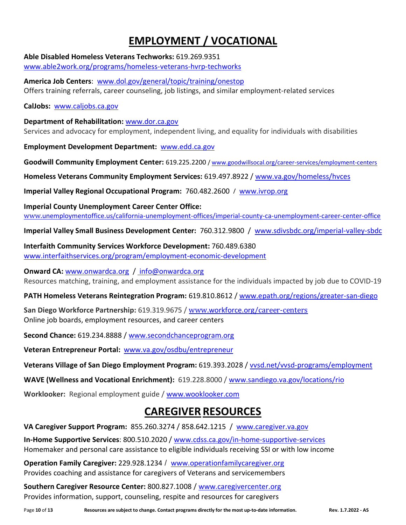# **EMPLOYMENT / VOCATIONAL**

**Able Disabled Homeless Veterans Techworks:** 619.269.9351

[www.able2work.org/programs/homeless-veterans-hvrp-techworks](http://www.able2work.org/programs/homeless-veterans-hvrp-techworks)

**America Job Centers**: [www.dol.gov/general/topic/training/onestop](http://www.dol.gov/general/topic/training/onestop) Offers training referrals, career counseling, job listings, and similar employment-related services

**CalJobs:** [www.caljobs.ca.gov](http://www.caljobs.ca.gov/)

**Department of Rehabilitation:** [www.dor.ca.gov](http://www.dor.ca.gov/) Services and advocacy for employment, independent living, and equality for individuals with disabilities

**Employment Development Department:** [www.edd.ca.gov](http://www.edd.ca.gov/)

**Goodwill Community Employment Center:** 619.225.2200 / [www.goodwillsocal.org/career-services/employment-centers](http://www.goodwillsocal.org/career-services/employment-centers)

**Homeless Veterans Community Employment Services:** 619.497.8922 / [www.va.gov/homeless/hvces](http://www.va.gov/homeless/hvces)

**Imperial Valley Regional Occupational Program:** 760.482.2600 / [www.ivrop.org](http://www.ivrop.org/)

**Imperial County Unemployment Career Center Office:** www.[unemploymentoffice.us/california-unemployment-offices/imperial-county-ca-unemployment-career-center-office](https://unemploymentoffice.us/california-unemployment-offices/imperial-county-ca-unemployment-career-center-office/)

**Imperial Valley Small Business Development Center:** 760.312.9800 / [www.sdivsbdc.org/imperial-valley-sbdc](http://www.sdivsbdc.org/imperial-valley-sbdc)

**Interfaith Community Services Workforce Development:** 760.489.6380 [www.interfaithservices.org/program/employment-economic-development](https://www.interfaithservices.org/program/employment-economic-development/)

**Onward CA:** [www.onwardca.org](http://www.onwardca.org/) / [info@onwardca.org](mailto:%20info@onwardca.org) Resources matching, training, and employment assistance for the individuals impacted by job due to COVID-19

**PATH Homeless Veterans Reintegration Program:** 619.810.8612 / [www.epath.org/regions/greater-san-diego](http://www.epath.org/regions/greater-san-diego)

**San Diego Workforce Partnership:** 619.319.9675 / www.[workforce.org](https://workforce.org/career-centers/)/career-centers Online job boards, employment resources, and career centers

**Second Chance:** 619.234.8888 / [www.secondchanceprogram.org](http://www.secondchanceprogram.org/)

**Veteran Entrepreneur Portal:** [www.va.gov/osdbu/entrepreneur](http://www.va.gov/osdbu/entrepreneur)

**Veterans Village of San Diego Employment Program:** 619.393.2028 / [vvsd.net/vvsd-programs/employment](https://vvsd.net/vvsd-programs/employment/)

**WAVE (Wellness and Vocational Enrichment):** 619.228.8000 / [www.sandiego.va.gov/locations/rio](http://www.sandiego.va.gov/locations/rio)

**Worklooker:** Regional employment guide [/ www.wooklooker.com](http://www.wooklooker.com/)

# **CAREGIVER RESOURCES**

**VA Caregiver Support Program:** 855.260.3274 / 858.642.1215 /[www.caregiver.va.gov](http://www.caregiver.va.gov/)

**In-Home Supportive Services**: 800.510.2020 / [www.cdss.ca.gov/in-home-supportive-services](http://www.cdss.ca.gov/in-home-supportive-services) Homemaker and personal care assistance to eligible individuals receiving SSI or with low income

**Operation Family Caregiver:** 229.928.1234 / [www.operationfamilycaregiver.org](http://www.operationfamilycaregiver.org/) Provides coaching and assistance for caregivers of Veterans and servicemembers

**Southern Caregiver Resource Center:** 800.827.1008 / [www.caregivercenter.org](https://www.caregivercenter.org/) Provides information, support, counseling, respite and resources for caregivers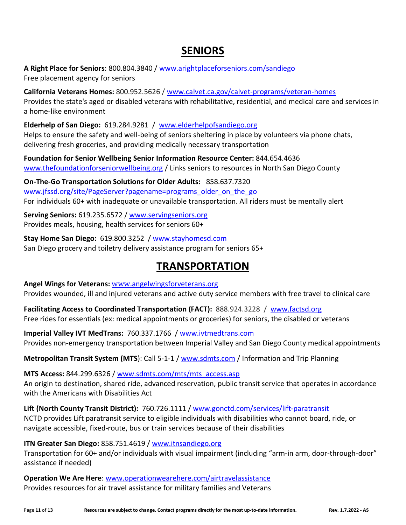# **SENIORS**

**A Right Place for Seniors**: 800.804.3840 / [www.arightplaceforseniors.com/sandiego](http://www.arightplaceforseniors.com/sandiego) Free placement agency for seniors

**California Veterans Homes:** 800.952.5626 / [www.calvet.ca.gov/calvet-programs/veteran-homes](http://www.calvet.ca.gov/calvet-programs/veteran-homes)  Provides the state's aged or disabled veterans with rehabilitative, residential, and medical care and services in a home-like environment

**Elderhelp of San Diego:** 619.284.9281 / [www.elderhelpofsandiego.org](http://www.elderhelpofsandiego.org/) Helps to ensure the safety and well-being of seniors sheltering in place by volunteers via phone chats, delivering fresh groceries, and providing medically necessary transportation

**Foundation for Senior Wellbeing Senior Information Resource Center:** 844.654.4636 [www.thefoundationforseniorwellbeing.org](http://www.thefoundationforseniorwellbeing.org/covid-19) / Links seniors to resources in North San Diego County

**On-The-Go Transportation Solutions for Older Adults:** 858.637.7320 [www.jfssd.org/site/PageServer?pagename=programs\\_older\\_on\\_the\\_go](http://www.jfssd.org/site/PageServer?pagename=programs_older_on_the_go) For individuals 60+ with inadequate or unavailable transportation. All riders must be mentally alert

**Serving Seniors:** 619.235.6572 / [www.servingseniors.org](http://www.servingseniors.org/) Provides meals, housing, health services for seniors 60+

**Stay Home San Diego:** 619.800.3252 / [www.stayhomesd.com](http://www.stayhomesd.com/) San Diego grocery and toiletry delivery assistance program for seniors 65+

# **TRANSPORTATION**

**Angel Wings for Veterans:** www.[angelwingsforveterans.org](https://angelwingsforveterans.org/about-us/) Provides wounded, ill and injured veterans and active duty service members with free travel to clinical care

**Facilitating Access to Coordinated Transportation (FACT):** 888.924.3228 / [www.factsd.org](http://www.factsd.org/) Free rides for essentials (ex: medical appointments or groceries) for seniors, the disabled or veterans

**Imperial Valley IVT MedTrans:** 760.337.1766 / [www.ivtmedtrans.com](http://www.ivtmedtrans.com/) Provides non-emergency transportation between Imperial Valley and San Diego County medical appointments

**Metropolitan Transit System (MTS**): Call 5-1-1 / [www.sdmts.com](http://www.sdmts.com/) / Information and Trip Planning

**MTS Access:** 844.299.6326 / [www.sdmts.com/mts/mts\\_access.asp](http://www.sdmts.com/mts/mts_access.asp)  An origin to destination, shared ride, advanced reservation, public transit service that operates in accordance with the Americans with Disabilities Act

**Lift (North County Transit District):** 760.726.1111 / www.gonctd.com/services/lift-paratransit NCTD provides Lift paratransit service to eligible individuals with disabilities who cannot board, ride, or navigate accessible, fixed-route, bus or train services because of their disabilities

**ITN Greater San Diego:** 858.751.4619 / [www.itnsandiego.org](http://www.itnsandiego.org/)

Transportation for 60+ and/or individuals with visual impairment (including "arm-in arm, door-through-door" assistance if needed)

**Operation We Are Here**: [www.operationwearehere.com/airtravelassistance](http://www.operationwearehere.com/airtravelassistance.html) Provides resources for air travel assistance for military families and Veterans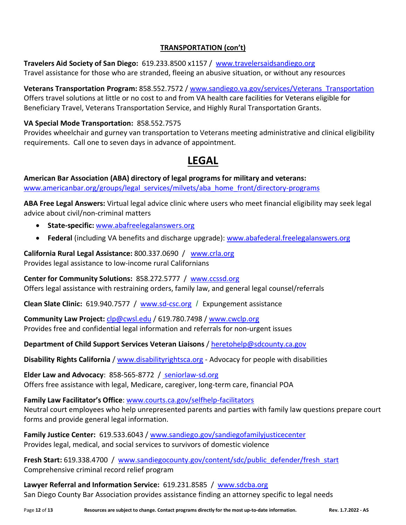## **TRANSPORTATION (con't)**

**Travelers Aid Society of San Diego:** 619.233.8500 x1157 / [www.travelersaidsandiego.org](http://www.travelersaidsandiego.org/)  Travel assistance for those who are stranded, fleeing an abusive situation, or without any resources

**Veterans Transportation Program:** 858.552.7572 / [www.sandiego.va.gov/services/Veterans\\_Transportation](http://www.sandiego.va.gov/services/Veterans_Transportation.asp) Offers travel solutions at little or no cost to and from VA health care facilities for Veterans eligible for Beneficiary Travel, Veterans Transportation Service, and Highly Rural Transportation Grants.

#### **VA Special Mode Transportation:** 858.552.7575

Provides wheelchair and gurney van transportation to Veterans meeting administrative and clinical eligibility requirements. Call one to seven days in advance of appointment.

# **LEGAL**

**American Bar Association (ABA) directory of legal programs for military and veterans:** www.americanbar.org/groups/legal\_services/milvets/aba\_home\_front/directory-programs

**ABA Free Legal Answers:** Virtual legal advice clinic where users who meet financial eligibility may seek legal advice about civil/non-criminal matters

- **State-specific:** [www.abafreelegalanswers.org](http://www.abafreelegalanswers.org/)
- **Federal** (including VA benefits and discharge upgrade): [www.abafederal.freelegalanswers.org](http://www.abafederal.freelegalanswers.org/)

**California Rural Legal Assistance:** 800.337.0690 / [www.crla.org](http://www.crla.org/) Provides legal assistance to low-income rural Californians

**Center for Community Solutions:** 858.272.5777 / [www.ccssd.org](https://www.ccssd.org/)

Offers legal assistance with restraining orders, family law, and general legal counsel/referrals

**Clean Slate Clinic:** 619.940.7577 / [www.sd-csc.org](http://www.sd-csc.org/) / Expungement assistance

**Community Law Project:** [clp@cwsl.edu](mailto:clp@cwsl.edu) / 619.780.7498 / [www.cwclp.org](http://www.cwclp.org/) Provides free and confidential legal information and referrals for non-urgent issues

**Department of Child Support Services Veteran Liaisons** / [heretohelp@sdcounty.ca.gov](mailto:heretohelp@sdcounty.ca.gov)

**Disability Rights California** / www.disabilityrightsca.org - Advocacy for people with disabilities

**Elder Law and Advocacy**: 858-565-8772 / [seniorlaw-sd.org](http://seniorlaw-sd.org/) Offers free assistance with legal, Medicare, caregiver, long-term care, financial POA

**Family Law Facilitator's Office**[: www.courts.ca.gov/selfhelp-facilitators](http://www.courts.ca.gov/selfhelp-facilitators%20/) Neutral court employees who help unrepresented parents and parties with family law questions prepare court forms and provide general legal information.

**Family Justice Center:** 619.533.6043 / [www.sandiego.gov/sandiegofamilyjusticecenter](https://www.sandiego.gov/sandiegofamilyjusticecenter/) Provides legal, medical, and social services to survivors of domestic violence

**Fresh Start:** 619.338.4700 / [www.sandiegocounty.gov/content/sdc/public\\_defender/fresh\\_start](http://www.sandiegocounty.gov/content/sdc/public_defender/fresh_start.html) Comprehensive criminal record relief program

**Lawyer Referral and Information Service:** 619.231.8585 / [www.sdcba.org](http://www.sdcba.org/) San Diego County Bar Association provides assistance finding an attorney specific to legal needs